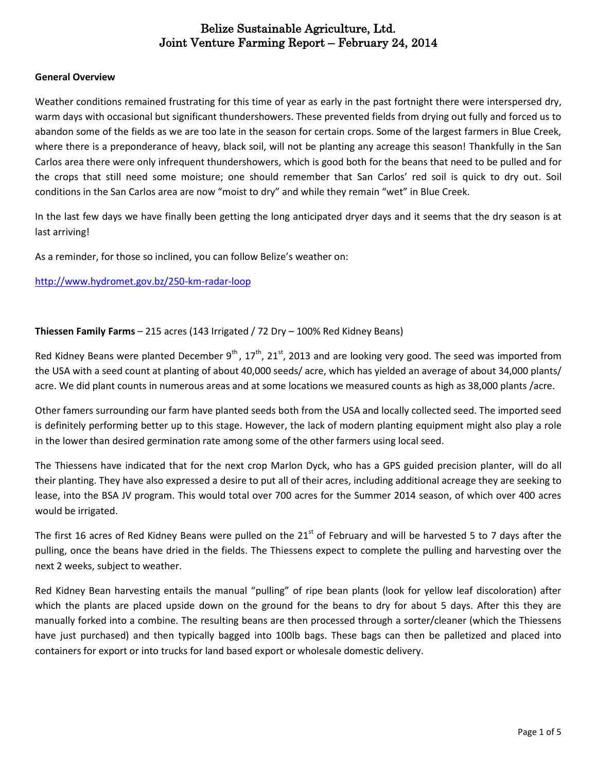#### **General Overview**

Weather conditions remained frustrating for this time of year as early in the past fortnight there were interspersed dry, warm days with occasional but significant thundershowers. These prevented fields from drying out fully and forced us to abandon some of the fields as we are too late in the season for certain crops. Some of the largest farmers in Blue Creek, where there is a preponderance of heavy, black soil, will not be planting any acreage this season! Thankfully in the San Carlos area there were only infrequent thundershowers, which is good both for the beans that need to be pulled and for the crops that still need some moisture; one should remember that San Carlos' red soil is quick to dry out. Soil conditions in the San Carlos area are now "moist to dry" and while they remain "wet" in Blue Creek.

In the last few days we have finally been getting the long anticipated dryer days and it seems that the dry season is at last arriving!

As a reminder, for those so inclined, you can follow Belize's weather on:

<http://www.hydromet.gov.bz/250-km-radar-loop>

### **Thiessen Family Farms** – 215 acres (143 Irrigated / 72 Dry – 100% Red Kidney Beans)

Red Kidney Beans were planted December  $9^{th}$ , 17 $^{th}$ , 21 $^{st}$ , 2013 and are looking very good. The seed was imported from the USA with a seed count at planting of about 40,000 seeds/ acre, which has yielded an average of about 34,000 plants/ acre. We did plant counts in numerous areas and at some locations we measured counts as high as 38,000 plants /acre.

Other famers surrounding our farm have planted seeds both from the USA and locally collected seed. The imported seed is definitely performing better up to this stage. However, the lack of modern planting equipment might also play a role in the lower than desired germination rate among some of the other farmers using local seed.

The Thiessens have indicated that for the next crop Marlon Dyck, who has a GPS guided precision planter, will do all their planting. They have also expressed a desire to put all of their acres, including additional acreage they are seeking to lease, into the BSA JV program. This would total over 700 acres for the Summer 2014 season, of which over 400 acres would be irrigated.

The first 16 acres of Red Kidney Beans were pulled on the  $21<sup>st</sup>$  of February and will be harvested 5 to 7 days after the pulling, once the beans have dried in the fields. The Thiessens expect to complete the pulling and harvesting over the next 2 weeks, subject to weather.

Red Kidney Bean harvesting entails the manual "pulling" of ripe bean plants (look for yellow leaf discoloration) after which the plants are placed upside down on the ground for the beans to dry for about 5 days. After this they are manually forked into a combine. The resulting beans are then processed through a sorter/cleaner (which the Thiessens have just purchased) and then typically bagged into 100lb bags. These bags can then be palletized and placed into containers for export or into trucks for land based export or wholesale domestic delivery.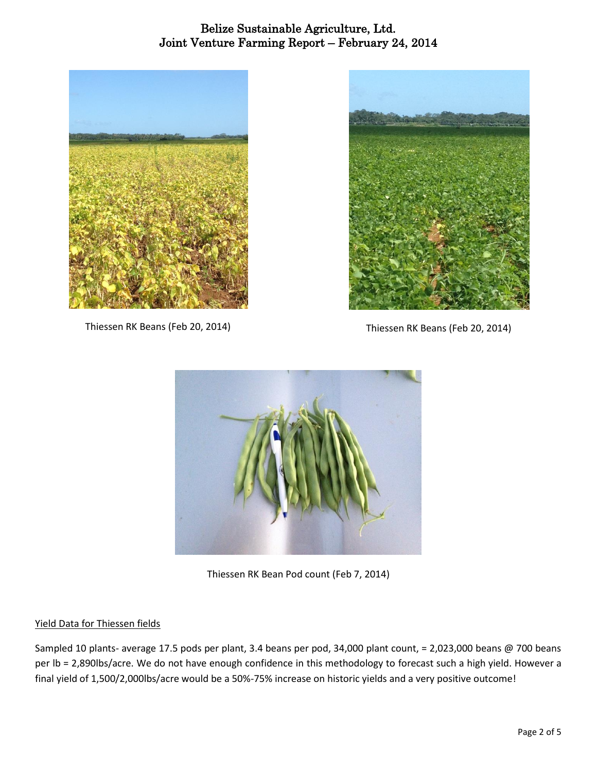

Thiessen RK Beans (Feb 20, 2014) Thiessen RK Beans (Feb 20, 2014)





Thiessen RK Bean Pod count (Feb 7, 2014)

## Yield Data for Thiessen fields

Sampled 10 plants- average 17.5 pods per plant, 3.4 beans per pod, 34,000 plant count, = 2,023,000 beans @ 700 beans per lb = 2,890lbs/acre. We do not have enough confidence in this methodology to forecast such a high yield. However a final yield of 1,500/2,000lbs/acre would be a 50%-75% increase on historic yields and a very positive outcome!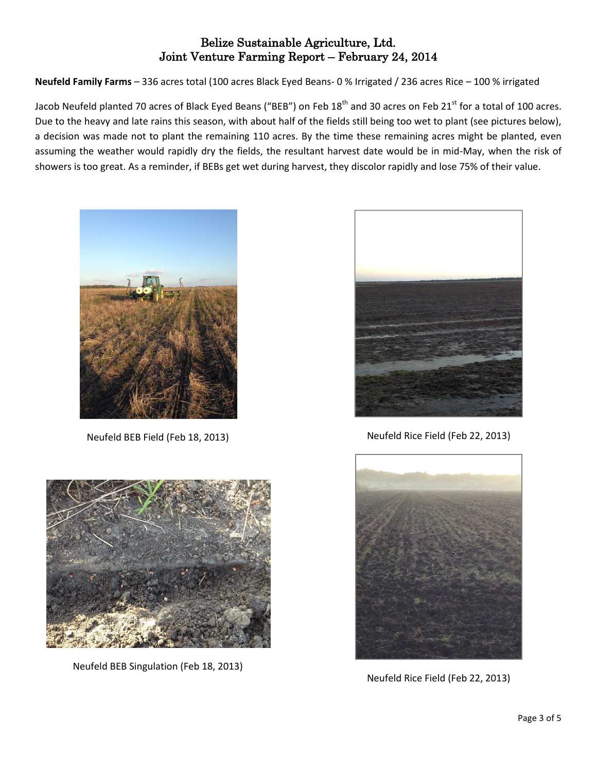**Neufeld Family Farms** – 336 acres total (100 acres Black Eyed Beans- 0 % Irrigated / 236 acres Rice – 100 % irrigated

Jacob Neufeld planted 70 acres of Black Eyed Beans ("BEB") on Feb 18<sup>th</sup> and 30 acres on Feb 21<sup>st</sup> for a total of 100 acres. Due to the heavy and late rains this season, with about half of the fields still being too wet to plant (see pictures below), a decision was made not to plant the remaining 110 acres. By the time these remaining acres might be planted, even assuming the weather would rapidly dry the fields, the resultant harvest date would be in mid-May, when the risk of showers is too great. As a reminder, if BEBs get wet during harvest, they discolor rapidly and lose 75% of their value.



Neufeld BEB Field (Feb 18, 2013)



Neufeld BEB Singulation (Feb 18, 2013)



Neufeld Rice Field (Feb 22, 2013)



Neufeld Rice Field (Feb 22, 2013)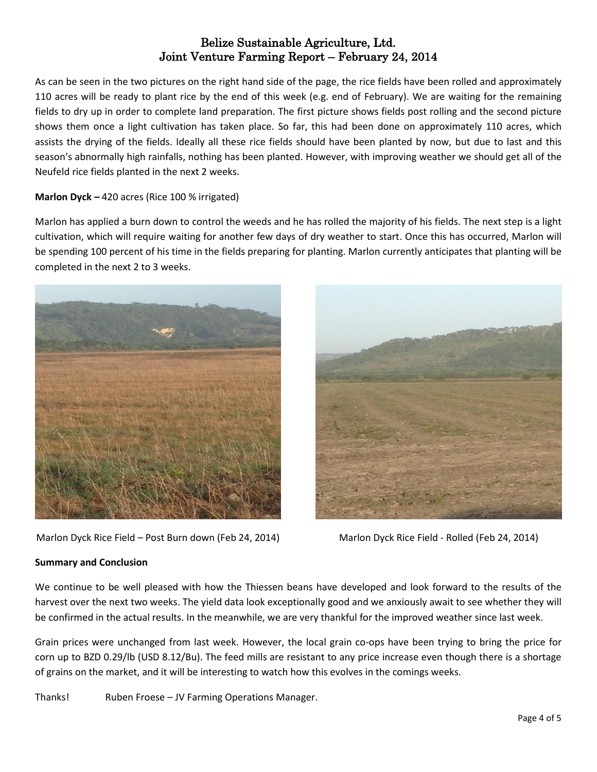As can be seen in the two pictures on the right hand side of the page, the rice fields have been rolled and approximately 110 acres will be ready to plant rice by the end of this week (e.g. end of February). We are waiting for the remaining fields to dry up in order to complete land preparation. The first picture shows fields post rolling and the second picture shows them once a light cultivation has taken place. So far, this had been done on approximately 110 acres, which assists the drying of the fields. Ideally all these rice fields should have been planted by now, but due to last and this season's abnormally high rainfalls, nothing has been planted. However, with improving weather we should get all of the Neufeld rice fields planted in the next 2 weeks.

### **Marlon Dyck –** 420 acres (Rice 100 % irrigated)

Marlon has applied a burn down to control the weeds and he has rolled the majority of his fields. The next step is a light cultivation, which will require waiting for another few days of dry weather to start. Once this has occurred, Marlon will be spending 100 percent of his time in the fields preparing for planting. Marlon currently anticipates that planting will be completed in the next 2 to 3 weeks.



Marlon Dyck Rice Field – Post Burn down (Feb 24, 2014) Marlon Dyck Rice Field - Rolled (Feb 24, 2014)



#### **Summary and Conclusion**

We continue to be well pleased with how the Thiessen beans have developed and look forward to the results of the harvest over the next two weeks. The yield data look exceptionally good and we anxiously await to see whether they will be confirmed in the actual results. In the meanwhile, we are very thankful for the improved weather since last week.

Grain prices were unchanged from last week. However, the local grain co-ops have been trying to bring the price for corn up to BZD 0.29/lb (USD 8.12/Bu). The feed mills are resistant to any price increase even though there is a shortage of grains on the market, and it will be interesting to watch how this evolves in the comings weeks.

Thanks! Ruben Froese – JV Farming Operations Manager.